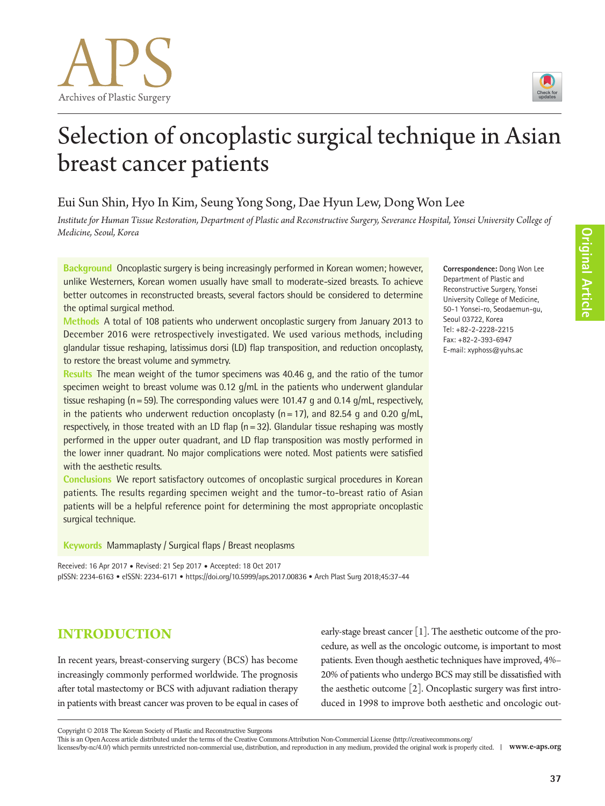

**Correspondence:** Dong Won Lee Department of Plastic and Reconstructive Surgery, Yonsei University College of Medicine, 50-1 Yonsei-ro, Seodaemun-gu,

Seoul 03722, Korea Tel: +82-2-2228-2215 Fax: +82-2-393-6947 E-mail: xyphoss@yuhs.ac

# Selection of oncoplastic surgical technique in Asian breast cancer patients

## Eui Sun Shin, Hyo In Kim, Seung Yong Song, Dae Hyun Lew, Dong Won Lee

*Institute for Human Tissue Restoration, Department of Plastic and Reconstructive Surgery, Severance Hospital, Yonsei University College of Medicine, Seoul, Korea*

**Background** Oncoplastic surgery is being increasingly performed in Korean women; however, unlike Westerners, Korean women usually have small to moderate-sized breasts. To achieve better outcomes in reconstructed breasts, several factors should be considered to determine the optimal surgical method.

**Methods** A total of 108 patients who underwent oncoplastic surgery from January 2013 to December 2016 were retrospectively investigated. We used various methods, including glandular tissue reshaping, latissimus dorsi (LD) flap transposition, and reduction oncoplasty, to restore the breast volume and symmetry.

**Results** The mean weight of the tumor specimens was 40.46 g, and the ratio of the tumor specimen weight to breast volume was 0.12 g/mL in the patients who underwent glandular tissue reshaping (n = 59). The corresponding values were 101.47 g and 0.14 g/mL, respectively, in the patients who underwent reduction oncoplasty  $(n=17)$ , and 82.54 g and 0.20 g/mL, respectively, in those treated with an LD flap  $(n=32)$ . Glandular tissue reshaping was mostly performed in the upper outer quadrant, and LD flap transposition was mostly performed in the lower inner quadrant. No major complications were noted. Most patients were satisfied with the aesthetic results.

**Conclusions** We report satisfactory outcomes of oncoplastic surgical procedures in Korean patients. The results regarding specimen weight and the tumor-to-breast ratio of Asian patients will be a helpful reference point for determining the most appropriate oncoplastic surgical technique.

**Keywords** Mammaplasty / Surgical flaps / Breast neoplasms

Received: 16 Apr 2017 • Revised: 21 Sep 2017 • Accepted: 18 Oct 2017 pISSN: 2234-6163 • eISSN: 2234-6171 • https://doi.org/10.5999/aps.2017.00836 • Arch Plast Surg 2018;45:37-44

**INTRODUCTION**

In recent years, breast-conserving surgery (BCS) has become increasingly commonly performed worldwide. The prognosis after total mastectomy or BCS with adjuvant radiation therapy in patients with breast cancer was proven to be equal in cases of early-stage breast cancer [1]. The aesthetic outcome of the procedure, as well as the oncologic outcome, is important to most patients. Even though aesthetic techniques have improved, 4%– 20% of patients who undergo BCS may still be dissatisfied with the aesthetic outcome [2]. Oncoplastic surgery was first introduced in 1998 to improve both aesthetic and oncologic out-

Copyright © 2018 The Korean Society of Plastic and Reconstructive Surgeons

This is an Open Access article distributed under the terms of the Creative Commons Attribution Non-Commercial License (http://creativecommons.org/

licenses/by-nc/4.0/) which permits unrestricted non-commercial use, distribution, and reproduction in any medium, provided the original work is properly cited. **www.e-aps.org**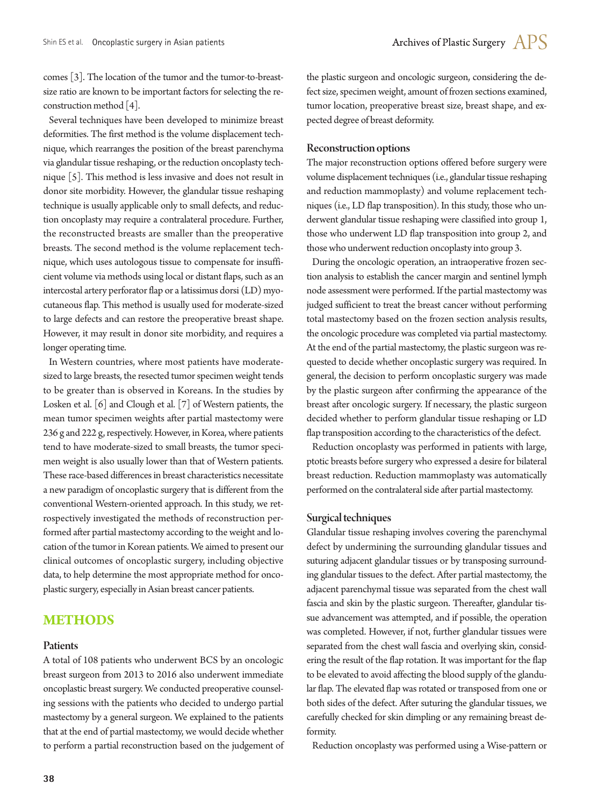comes [3]. The location of the tumor and the tumor-to-breastsize ratio are known to be important factors for selecting the reconstruction method [4].

Several techniques have been developed to minimize breast deformities. The first method is the volume displacement technique, which rearranges the position of the breast parenchyma via glandular tissue reshaping, or the reduction oncoplasty technique [5]. This method is less invasive and does not result in donor site morbidity. However, the glandular tissue reshaping technique is usually applicable only to small defects, and reduction oncoplasty may require a contralateral procedure. Further, the reconstructed breasts are smaller than the preoperative breasts. The second method is the volume replacement technique, which uses autologous tissue to compensate for insufficient volume via methods using local or distant flaps, such as an intercostal artery perforator flap or a latissimus dorsi (LD) myocutaneous flap. This method is usually used for moderate-sized to large defects and can restore the preoperative breast shape. However, it may result in donor site morbidity, and requires a longer operating time.

In Western countries, where most patients have moderatesized to large breasts, the resected tumor specimen weight tends to be greater than is observed in Koreans. In the studies by Losken et al. [6] and Clough et al. [7] of Western patients, the mean tumor specimen weights after partial mastectomy were 236 g and 222 g, respectively. However, in Korea, where patients tend to have moderate-sized to small breasts, the tumor specimen weight is also usually lower than that of Western patients. These race-based differences in breast characteristics necessitate a new paradigm of oncoplastic surgery that is different from the conventional Western-oriented approach. In this study, we retrospectively investigated the methods of reconstruction performed after partial mastectomy according to the weight and location of the tumor in Korean patients. We aimed to present our clinical outcomes of oncoplastic surgery, including objective data, to help determine the most appropriate method for oncoplastic surgery, especially in Asian breast cancer patients.

### **METHODS**

#### Patients

A total of 108 patients who underwent BCS by an oncologic breast surgeon from 2013 to 2016 also underwent immediate oncoplastic breast surgery. We conducted preoperative counseling sessions with the patients who decided to undergo partial mastectomy by a general surgeon. We explained to the patients that at the end of partial mastectomy, we would decide whether to perform a partial reconstruction based on the judgement of the plastic surgeon and oncologic surgeon, considering the defect size, specimen weight, amount of frozen sections examined, tumor location, preoperative breast size, breast shape, and expected degree of breast deformity.

#### Reconstruction options

The major reconstruction options offered before surgery were volume displacement techniques (i.e., glandular tissue reshaping and reduction mammoplasty) and volume replacement techniques (i.e., LD flap transposition). In this study, those who underwent glandular tissue reshaping were classified into group 1, those who underwent LD flap transposition into group 2, and those who underwent reduction oncoplasty into group 3.

During the oncologic operation, an intraoperative frozen section analysis to establish the cancer margin and sentinel lymph node assessment were performed. If the partial mastectomy was judged sufficient to treat the breast cancer without performing total mastectomy based on the frozen section analysis results, the oncologic procedure was completed via partial mastectomy. At the end of the partial mastectomy, the plastic surgeon was requested to decide whether oncoplastic surgery was required. In general, the decision to perform oncoplastic surgery was made by the plastic surgeon after confirming the appearance of the breast after oncologic surgery. If necessary, the plastic surgeon decided whether to perform glandular tissue reshaping or LD flap transposition according to the characteristics of the defect.

Reduction oncoplasty was performed in patients with large, ptotic breasts before surgery who expressed a desire for bilateral breast reduction. Reduction mammoplasty was automatically performed on the contralateral side after partial mastectomy.

#### Surgical techniques

Glandular tissue reshaping involves covering the parenchymal defect by undermining the surrounding glandular tissues and suturing adjacent glandular tissues or by transposing surrounding glandular tissues to the defect. After partial mastectomy, the adjacent parenchymal tissue was separated from the chest wall fascia and skin by the plastic surgeon. Thereafter, glandular tissue advancement was attempted, and if possible, the operation was completed. However, if not, further glandular tissues were separated from the chest wall fascia and overlying skin, considering the result of the flap rotation. It was important for the flap to be elevated to avoid affecting the blood supply of the glandular flap. The elevated flap was rotated or transposed from one or both sides of the defect. After suturing the glandular tissues, we carefully checked for skin dimpling or any remaining breast deformity.

Reduction oncoplasty was performed using a Wise-pattern or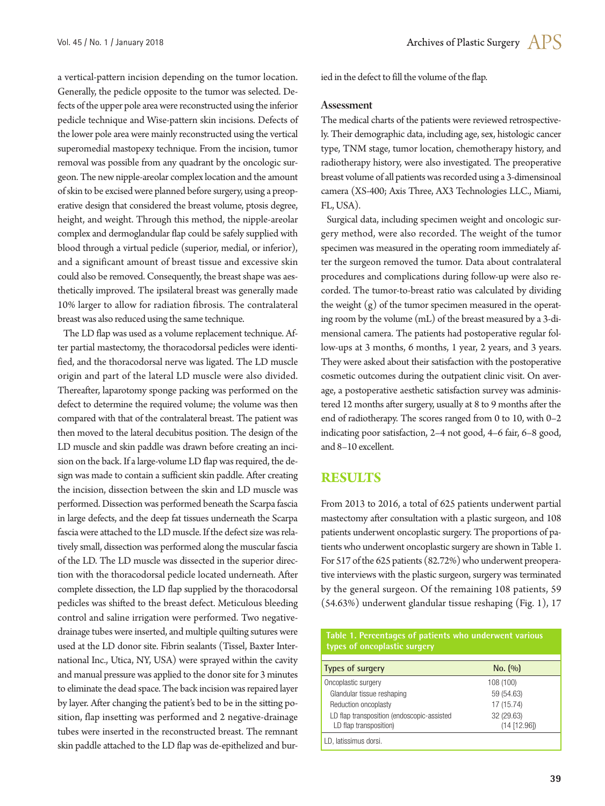a vertical-pattern incision depending on the tumor location. Generally, the pedicle opposite to the tumor was selected. Defects of the upper pole area were reconstructed using the inferior pedicle technique and Wise-pattern skin incisions. Defects of the lower pole area were mainly reconstructed using the vertical superomedial mastopexy technique. From the incision, tumor removal was possible from any quadrant by the oncologic surgeon. The new nipple-areolar complex location and the amount of skin to be excised were planned before surgery, using a preoperative design that considered the breast volume, ptosis degree, height, and weight. Through this method, the nipple-areolar complex and dermoglandular flap could be safely supplied with blood through a virtual pedicle (superior, medial, or inferior), and a significant amount of breast tissue and excessive skin could also be removed. Consequently, the breast shape was aesthetically improved. The ipsilateral breast was generally made 10% larger to allow for radiation fibrosis. The contralateral breast was also reduced using the same technique.

The LD flap was used as a volume replacement technique. After partial mastectomy, the thoracodorsal pedicles were identified, and the thoracodorsal nerve was ligated. The LD muscle origin and part of the lateral LD muscle were also divided. Thereafter, laparotomy sponge packing was performed on the defect to determine the required volume; the volume was then compared with that of the contralateral breast. The patient was then moved to the lateral decubitus position. The design of the LD muscle and skin paddle was drawn before creating an incision on the back. If a large-volume LD flap was required, the design was made to contain a sufficient skin paddle. After creating the incision, dissection between the skin and LD muscle was performed. Dissection was performed beneath the Scarpa fascia in large defects, and the deep fat tissues underneath the Scarpa fascia were attached to the LD muscle. If the defect size was relatively small, dissection was performed along the muscular fascia of the LD. The LD muscle was dissected in the superior direction with the thoracodorsal pedicle located underneath. After complete dissection, the LD flap supplied by the thoracodorsal pedicles was shifted to the breast defect. Meticulous bleeding control and saline irrigation were performed. Two negativedrainage tubes were inserted, and multiple quilting sutures were used at the LD donor site. Fibrin sealants (Tissel, Baxter International Inc., Utica, NY, USA) were sprayed within the cavity and manual pressure was applied to the donor site for 3 minutes to eliminate the dead space. The back incision was repaired layer by layer. After changing the patient's bed to be in the sitting position, flap insetting was performed and 2 negative-drainage tubes were inserted in the reconstructed breast. The remnant skin paddle attached to the LD flap was de-epithelized and buried in the defect to fill the volume of the flap.

#### Assessment

The medical charts of the patients were reviewed retrospectively. Their demographic data, including age, sex, histologic cancer type, TNM stage, tumor location, chemotherapy history, and radiotherapy history, were also investigated. The preoperative breast volume of all patients was recorded using a 3-dimensinoal camera (XS-400; Axis Three, AX3 Technologies LLC., Miami, FL, USA).

Surgical data, including specimen weight and oncologic surgery method, were also recorded. The weight of the tumor specimen was measured in the operating room immediately after the surgeon removed the tumor. Data about contralateral procedures and complications during follow-up were also recorded. The tumor-to-breast ratio was calculated by dividing the weight (g) of the tumor specimen measured in the operating room by the volume (mL) of the breast measured by a 3-dimensional camera. The patients had postoperative regular follow-ups at 3 months, 6 months, 1 year, 2 years, and 3 years. They were asked about their satisfaction with the postoperative cosmetic outcomes during the outpatient clinic visit. On average, a postoperative aesthetic satisfaction survey was administered 12 months after surgery, usually at 8 to 9 months after the end of radiotherapy. The scores ranged from 0 to 10, with 0–2 indicating poor satisfaction, 2–4 not good, 4–6 fair, 6–8 good, and 8–10 excellent.

#### **RESULTS**

From 2013 to 2016, a total of 625 patients underwent partial mastectomy after consultation with a plastic surgeon, and 108 patients underwent oncoplastic surgery. The proportions of patients who underwent oncoplastic surgery are shown in Table 1. For 517 of the 625 patients (82.72%) who underwent preoperative interviews with the plastic surgeon, surgery was terminated by the general surgeon. Of the remaining 108 patients, 59 (54.63%) underwent glandular tissue reshaping (Fig. 1), 17

**Table 1. Percentages of patients who underwent various types of oncoplastic surgery** 

| Types of surgery                           | No. (90)     |
|--------------------------------------------|--------------|
| Oncoplastic surgery                        | 108 (100)    |
| Glandular tissue reshaping                 | 59 (54.63)   |
| Reduction oncoplasty                       | 17 (15.74)   |
| LD flap transposition (endoscopic-assisted | 32 (29.63)   |
| LD flap transposition)                     | (14 [12.96]) |
| LD, latissimus dorsi.                      |              |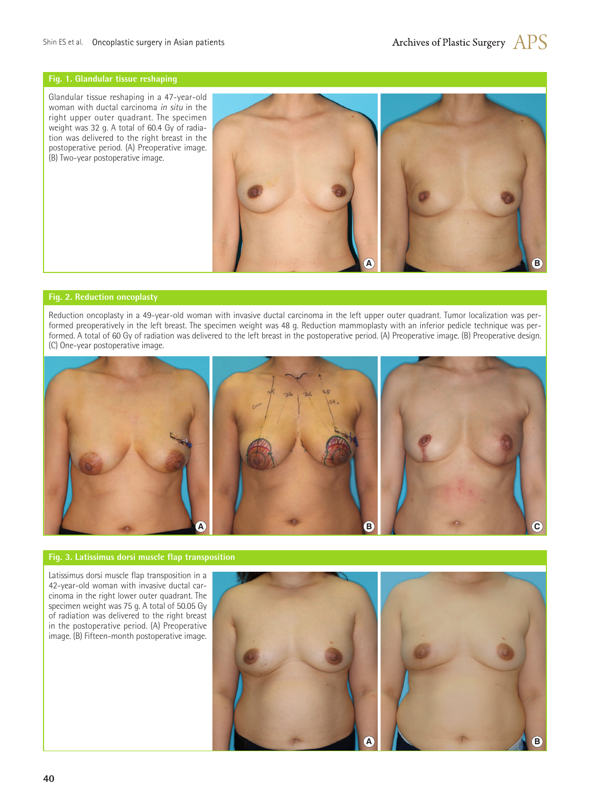#### **Fig. 1. Glandular tissue reshaping**

Glandular tissue reshaping in a 47-year-old woman with ductal carcinoma *in situ* in the right upper outer quadrant. The specimen weight was 32 g. A total of 60.4 Gy of radiation was delivered to the right breast in the postoperative period. (A) Preoperative image. (B) Two-year postoperative image.



#### **Fig. 2. Reduction oncoplasty**

Reduction oncoplasty in a 49-year-old woman with invasive ductal carcinoma in the left upper outer quadrant. Tumor localization was performed preoperatively in the left breast. The specimen weight was 48 g. Reduction mammoplasty with an inferior pedicle technique was performed. A total of 60 Gy of radiation was delivered to the left breast in the postoperative period. (A) Preoperative image. (B) Preoperative design. (C) One-year postoperative image.



#### **Fig. 3. Latissimus dorsi muscle flap transposition**

Latissimus dorsi muscle flap transposition in a 42-year-old woman with invasive ductal carcinoma in the right lower outer quadrant. The specimen weight was 75 g. A total of 50.05 Gy of radiation was delivered to the right breast in the postoperative period. (A) Preoperative image. (B) Fifteen-month postoperative image.

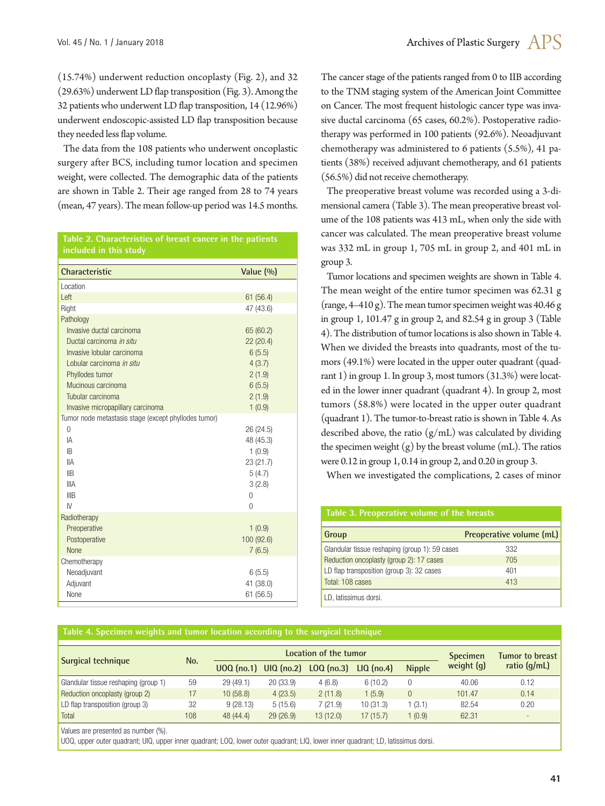(15.74%) underwent reduction oncoplasty (Fig. 2), and 32 (29.63%) underwent LD flap transposition (Fig. 3). Among the 32 patients who underwent LD flap transposition, 14 (12.96%) underwent endoscopic-assisted LD flap transposition because they needed less flap volume.

The data from the 108 patients who underwent oncoplastic surgery after BCS, including tumor location and specimen weight, were collected. The demographic data of the patients are shown in Table 2. Their age ranged from 28 to 74 years (mean, 47 years). The mean follow-up period was 14.5 months.

**Table 2. Characteristics of breast cancer in the patients included in this study**

| Characteristic                                       | Value $(%$     |
|------------------------------------------------------|----------------|
| Location                                             |                |
| Left                                                 | 61(56.4)       |
| Right                                                | 47 (43.6)      |
| Pathology                                            |                |
| Invasive ductal carcinoma                            | 65 (60.2)      |
| Ductal carcinoma in situ                             | 22(20.4)       |
| Invasive lobular carcinoma                           | 6(5.5)         |
| Lobular carcinoma in situ                            | 4(3.7)         |
| Phyllodes tumor                                      | 2(1.9)         |
| Mucinous carcinoma                                   | 6(5.5)         |
| Tubular carcinoma                                    | 2(1.9)         |
| Invasive micropapillary carcinoma                    | 1(0.9)         |
| Tumor node metastasis stage (except phyllodes tumor) |                |
| $\Omega$                                             | 26 (24.5)      |
| IA                                                   | 48 (45.3)      |
| IB                                                   | 1(0.9)         |
| <b>IIA</b>                                           | 23 (21.7)      |
| $\mathbb{I}$ B                                       | 5(4.7)         |
| <b>IIIA</b>                                          | 3(2.8)         |
| IIIB                                                 | 0              |
| IV                                                   | $\overline{0}$ |
| Radiotherapy                                         |                |
| Preoperative                                         | 1(0.9)         |
| Postoperative                                        | 100 (92.6)     |
| <b>None</b>                                          | 7(6.5)         |
| Chemotherapy                                         |                |
| Neoadjuvant                                          | 6(5.5)         |
| Adjuvant                                             | 41 (38.0)      |
| None                                                 | 61(56.5)       |

The cancer stage of the patients ranged from 0 to IIB according to the TNM staging system of the American Joint Committee on Cancer. The most frequent histologic cancer type was invasive ductal carcinoma (65 cases, 60.2%). Postoperative radiotherapy was performed in 100 patients (92.6%). Neoadjuvant chemotherapy was administered to 6 patients (5.5%), 41 patients (38%) received adjuvant chemotherapy, and 61 patients (56.5%) did not receive chemotherapy.

The preoperative breast volume was recorded using a 3-dimensional camera (Table 3). The mean preoperative breast volume of the 108 patients was 413 mL, when only the side with cancer was calculated. The mean preoperative breast volume was 332 mL in group 1, 705 mL in group 2, and 401 mL in group 3.

Tumor locations and specimen weights are shown in Table 4. The mean weight of the entire tumor specimen was 62.31 g (range, 4–410 g). The mean tumor specimen weight was 40.46 g in group 1, 101.47 g in group 2, and 82.54 g in group 3 (Table 4). The distribution of tumor locations is also shown in Table 4. When we divided the breasts into quadrants, most of the tumors (49.1%) were located in the upper outer quadrant (quadrant 1) in group 1. In group 3, most tumors (31.3%) were located in the lower inner quadrant (quadrant 4). In group 2, most tumors (58.8%) were located in the upper outer quadrant (quadrant 1). The tumor-to-breast ratio is shown in Table 4. As described above, the ratio  $(g/mL)$  was calculated by dividing the specimen weight  $(g)$  by the breast volume (mL). The ratios were 0.12 in group 1, 0.14 in group 2, and 0.20 in group 3.

When we investigated the complications, 2 cases of minor

| Table 3. Preoperative volume of the breasts    |                          |  |  |  |  |  |  |
|------------------------------------------------|--------------------------|--|--|--|--|--|--|
| Group                                          | Preoperative volume (mL) |  |  |  |  |  |  |
| Glandular tissue reshaping (group 1): 59 cases | 332                      |  |  |  |  |  |  |
| Reduction oncoplasty (group 2): 17 cases       | 705                      |  |  |  |  |  |  |
| LD flap transposition (group 3): 32 cases      | 401                      |  |  |  |  |  |  |
| Total: 108 cases                               | 413                      |  |  |  |  |  |  |
| LD. latissimus dorsi.                          |                          |  |  |  |  |  |  |

#### **Table 4. Specimen weights and tumor location according to the surgical technique**

| Surgical technique                   | No. | Location of the tumor |          |                                        |              | <b>Specimen</b> | <b>Tumor to breast</b> |                |
|--------------------------------------|-----|-----------------------|----------|----------------------------------------|--------------|-----------------|------------------------|----------------|
|                                      |     |                       |          | $UOO (no.1)$ $UIO (no.2)$ $LOQ (no.3)$ | $LIQ$ (no.4) | <b>Nipple</b>   | weight $(q)$           | ratio $(q/mL)$ |
| Glandular tissue reshaping (group 1) | 59  | 29 (49.1)             | 20(33.9) | 4(6.8)                                 | 6(10.2)      |                 | 40.06                  | 0.12           |
| Reduction oncoplasty (group 2)       | 17  | 10 (58.8)             | 4(23.5)  | 2(11.8)                                | 1(5.9)       | $\theta$        | 101.47                 | 0.14           |
| LD flap transposition (group 3)      | 32  | 9(28.13)              | 5(15.6)  | 7(21.9)                                | 10(31.3)     | (3.1)           | 82.54                  | 0.20           |
| Total                                | 108 | 48 (44.4)             | 29(26.9) | 13 (12.0)                              | 17 (15.7)    | (0.9)           | 62.31                  | $\sim$         |

Values are presented as number (%).

UOQ, upper outer quadrant; UIQ, upper inner quadrant; LOQ, lower outer quadrant; LIQ, lower inner quadrant; LD, latissimus dorsi.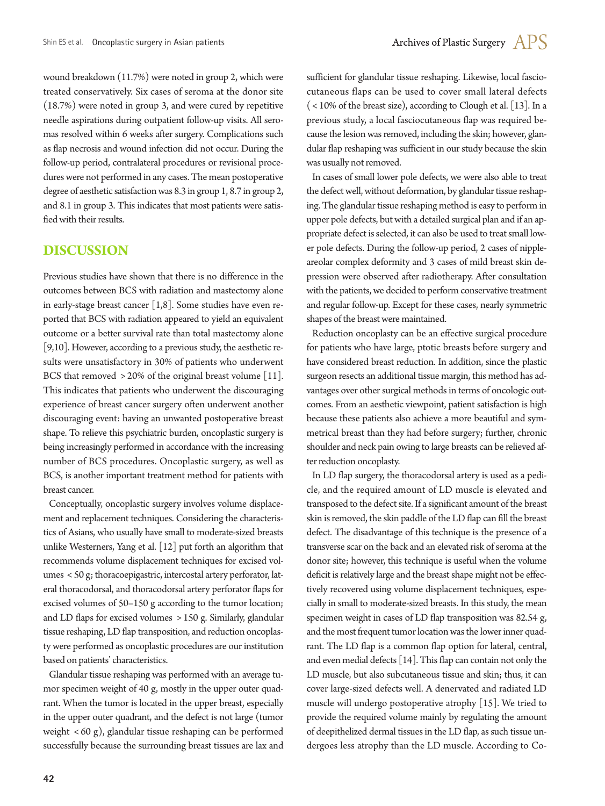wound breakdown (11.7%) were noted in group 2, which were treated conservatively. Six cases of seroma at the donor site (18.7%) were noted in group 3, and were cured by repetitive needle aspirations during outpatient follow-up visits. All seromas resolved within 6 weeks after surgery. Complications such as flap necrosis and wound infection did not occur. During the follow-up period, contralateral procedures or revisional procedures were not performed in any cases. The mean postoperative degree of aesthetic satisfaction was 8.3 in group 1, 8.7 in group 2, and 8.1 in group 3. This indicates that most patients were satisfied with their results.

## **DISCUSSION**

Previous studies have shown that there is no difference in the outcomes between BCS with radiation and mastectomy alone in early-stage breast cancer  $[1,8]$ . Some studies have even reported that BCS with radiation appeared to yield an equivalent outcome or a better survival rate than total mastectomy alone [9,10]. However, according to a previous study, the aesthetic results were unsatisfactory in 30% of patients who underwent BCS that removed > 20% of the original breast volume [11]. This indicates that patients who underwent the discouraging experience of breast cancer surgery often underwent another discouraging event: having an unwanted postoperative breast shape. To relieve this psychiatric burden, oncoplastic surgery is being increasingly performed in accordance with the increasing number of BCS procedures. Oncoplastic surgery, as well as BCS, is another important treatment method for patients with breast cancer.

Conceptually, oncoplastic surgery involves volume displacement and replacement techniques. Considering the characteristics of Asians, who usually have small to moderate-sized breasts unlike Westerners, Yang et al. [12] put forth an algorithm that recommends volume displacement techniques for excised volumes < 50 g; thoracoepigastric, intercostal artery perforator, lateral thoracodorsal, and thoracodorsal artery perforator flaps for excised volumes of 50–150 g according to the tumor location; and LD flaps for excised volumes > 150 g. Similarly, glandular tissue reshaping, LD flap transposition, and reduction oncoplasty were performed as oncoplastic procedures are our institution based on patients' characteristics.

Glandular tissue reshaping was performed with an average tumor specimen weight of 40 g, mostly in the upper outer quadrant. When the tumor is located in the upper breast, especially in the upper outer quadrant, and the defect is not large (tumor weight < 60 g), glandular tissue reshaping can be performed successfully because the surrounding breast tissues are lax and

sufficient for glandular tissue reshaping. Likewise, local fasciocutaneous flaps can be used to cover small lateral defects ( < 10% of the breast size), according to Clough et al. [13]. In a previous study, a local fasciocutaneous flap was required because the lesion was removed, including the skin; however, glandular flap reshaping was sufficient in our study because the skin was usually not removed.

In cases of small lower pole defects, we were also able to treat the defect well, without deformation, by glandular tissue reshaping. The glandular tissue reshaping method is easy to perform in upper pole defects, but with a detailed surgical plan and if an appropriate defect is selected, it can also be used to treat small lower pole defects. During the follow-up period, 2 cases of nippleareolar complex deformity and 3 cases of mild breast skin depression were observed after radiotherapy. After consultation with the patients, we decided to perform conservative treatment and regular follow-up. Except for these cases, nearly symmetric shapes of the breast were maintained.

Reduction oncoplasty can be an effective surgical procedure for patients who have large, ptotic breasts before surgery and have considered breast reduction. In addition, since the plastic surgeon resects an additional tissue margin, this method has advantages over other surgical methods in terms of oncologic outcomes. From an aesthetic viewpoint, patient satisfaction is high because these patients also achieve a more beautiful and symmetrical breast than they had before surgery; further, chronic shoulder and neck pain owing to large breasts can be relieved after reduction oncoplasty.

In LD flap surgery, the thoracodorsal artery is used as a pedicle, and the required amount of LD muscle is elevated and transposed to the defect site. If a significant amount of the breast skin is removed, the skin paddle of the LD flap can fill the breast defect. The disadvantage of this technique is the presence of a transverse scar on the back and an elevated risk of seroma at the donor site; however, this technique is useful when the volume deficit is relatively large and the breast shape might not be effectively recovered using volume displacement techniques, especially in small to moderate-sized breasts. In this study, the mean specimen weight in cases of LD flap transposition was 82.54 g, and the most frequent tumor location was the lower inner quadrant. The LD flap is a common flap option for lateral, central, and even medial defects [14]. This flap can contain not only the LD muscle, but also subcutaneous tissue and skin; thus, it can cover large-sized defects well. A denervated and radiated LD muscle will undergo postoperative atrophy [15]. We tried to provide the required volume mainly by regulating the amount of deepithelized dermal tissues in the LD flap, as such tissue undergoes less atrophy than the LD muscle. According to Co-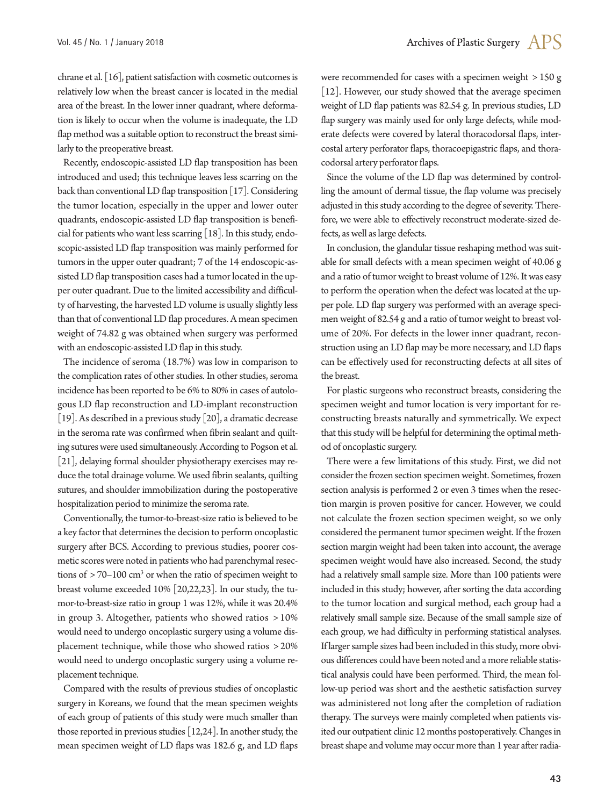chrane et al. [16], patient satisfaction with cosmetic outcomes is relatively low when the breast cancer is located in the medial area of the breast. In the lower inner quadrant, where deformation is likely to occur when the volume is inadequate, the LD flap method was a suitable option to reconstruct the breast similarly to the preoperative breast.

Recently, endoscopic-assisted LD flap transposition has been introduced and used; this technique leaves less scarring on the back than conventional LD flap transposition [17]. Considering the tumor location, especially in the upper and lower outer quadrants, endoscopic-assisted LD flap transposition is beneficial for patients who want less scarring [18]. In this study, endoscopic-assisted LD flap transposition was mainly performed for tumors in the upper outer quadrant; 7 of the 14 endoscopic-assisted LD flap transposition cases had a tumor located in the upper outer quadrant. Due to the limited accessibility and difficulty of harvesting, the harvested LD volume is usually slightly less than that of conventional LD flap procedures. A mean specimen weight of 74.82 g was obtained when surgery was performed with an endoscopic-assisted LD flap in this study.

The incidence of seroma (18.7%) was low in comparison to the complication rates of other studies. In other studies, seroma incidence has been reported to be 6% to 80% in cases of autologous LD flap reconstruction and LD-implant reconstruction [19]. As described in a previous study [20], a dramatic decrease in the seroma rate was confirmed when fibrin sealant and quilting sutures were used simultaneously. According to Pogson et al. [21], delaying formal shoulder physiotherapy exercises may reduce the total drainage volume. We used fibrin sealants, quilting sutures, and shoulder immobilization during the postoperative hospitalization period to minimize the seroma rate.

Conventionally, the tumor-to-breast-size ratio is believed to be a key factor that determines the decision to perform oncoplastic surgery after BCS. According to previous studies, poorer cosmetic scores were noted in patients who had parenchymal resections of  $> 70-100$  cm<sup>3</sup> or when the ratio of specimen weight to breast volume exceeded 10% [20,22,23]. In our study, the tumor-to-breast-size ratio in group 1 was 12%, while it was 20.4% in group 3. Altogether, patients who showed ratios > 10% would need to undergo oncoplastic surgery using a volume displacement technique, while those who showed ratios > 20% would need to undergo oncoplastic surgery using a volume replacement technique.

Compared with the results of previous studies of oncoplastic surgery in Koreans, we found that the mean specimen weights of each group of patients of this study were much smaller than those reported in previous studies [12,24]. In another study, the mean specimen weight of LD flaps was 182.6 g, and LD flaps were recommended for cases with a specimen weight > 150 g [12]. However, our study showed that the average specimen weight of LD flap patients was 82.54 g. In previous studies, LD flap surgery was mainly used for only large defects, while moderate defects were covered by lateral thoracodorsal flaps, intercostal artery perforator flaps, thoracoepigastric flaps, and thoracodorsal artery perforator flaps.

Since the volume of the LD flap was determined by controlling the amount of dermal tissue, the flap volume was precisely adjusted in this study according to the degree of severity. Therefore, we were able to effectively reconstruct moderate-sized defects, as well as large defects.

In conclusion, the glandular tissue reshaping method was suitable for small defects with a mean specimen weight of 40.06 g and a ratio of tumor weight to breast volume of 12%. It was easy to perform the operation when the defect was located at the upper pole. LD flap surgery was performed with an average specimen weight of 82.54 g and a ratio of tumor weight to breast volume of 20%. For defects in the lower inner quadrant, reconstruction using an LD flap may be more necessary, and LD flaps can be effectively used for reconstructing defects at all sites of the breast.

For plastic surgeons who reconstruct breasts, considering the specimen weight and tumor location is very important for reconstructing breasts naturally and symmetrically. We expect that this study will be helpful for determining the optimal method of oncoplastic surgery.

There were a few limitations of this study. First, we did not consider the frozen section specimen weight. Sometimes, frozen section analysis is performed 2 or even 3 times when the resection margin is proven positive for cancer. However, we could not calculate the frozen section specimen weight, so we only considered the permanent tumor specimen weight. If the frozen section margin weight had been taken into account, the average specimen weight would have also increased. Second, the study had a relatively small sample size. More than 100 patients were included in this study; however, after sorting the data according to the tumor location and surgical method, each group had a relatively small sample size. Because of the small sample size of each group, we had difficulty in performing statistical analyses. If larger sample sizes had been included in this study, more obvious differences could have been noted and a more reliable statistical analysis could have been performed. Third, the mean follow-up period was short and the aesthetic satisfaction survey was administered not long after the completion of radiation therapy. The surveys were mainly completed when patients visited our outpatient clinic 12 months postoperatively. Changes in breast shape and volume may occur more than 1 year after radia-